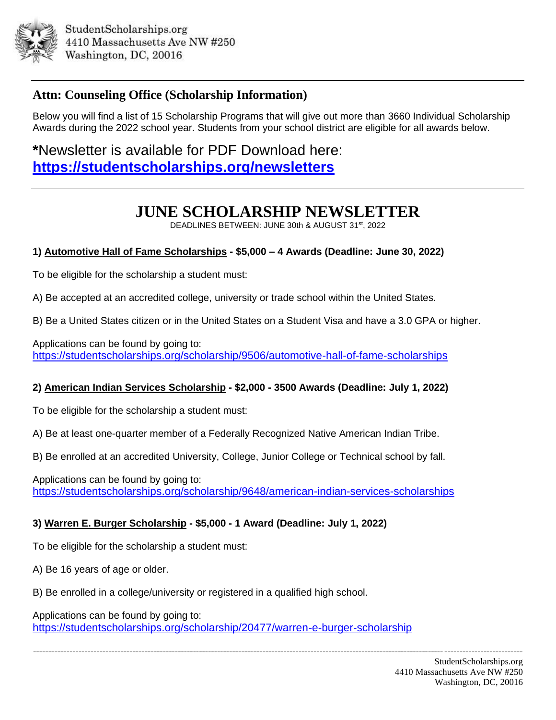

# **Attn: Counseling Office (Scholarship Information)**

Below you will find a list of 15 Scholarship Programs that will give out more than 3660 Individual Scholarship Awards during the 2022 school year. Students from your school district are eligible for all awards below.

**\***Newsletter is available for PDF Download here: **<https://studentscholarships.org/newsletters>**

# **JUNE SCHOLARSHIP NEWSLETTER**

DEADLINES BETWEEN: JUNE 30th & AUGUST 31st, 2022

# **1) Automotive Hall of Fame Scholarships - \$5,000 – 4 Awards (Deadline: June 30, 2022)**

To be eligible for the scholarship a student must:

A) Be accepted at an accredited college, university or trade school within the United States.

B) Be a United States citizen or in the United States on a Student Visa and have a 3.0 GPA or higher.

Applications can be found by going to: <https://studentscholarships.org/scholarship/9506/automotive-hall-of-fame-scholarships>

### **2) American Indian Services Scholarship - \$2,000 - 3500 Awards (Deadline: July 1, 2022)**

To be eligible for the scholarship a student must:

A) Be at least one-quarter member of a Federally Recognized Native American Indian Tribe.

B) Be enrolled at an accredited University, College, Junior College or Technical school by fall.

Applications can be found by going to: <https://studentscholarships.org/scholarship/9648/american-indian-services-scholarships>

### **3) Warren E. Burger Scholarship - \$5,000 - 1 Award (Deadline: July 1, 2022)**

To be eligible for the scholarship a student must:

A) Be 16 years of age or older.

B) Be enrolled in a college/university or registered in a qualified high school.

Applications can be found by going to: <https://studentscholarships.org/scholarship/20477/warren-e-burger-scholarship>

------------------------------------------------------------------------------------------------------------------------------------------------------------------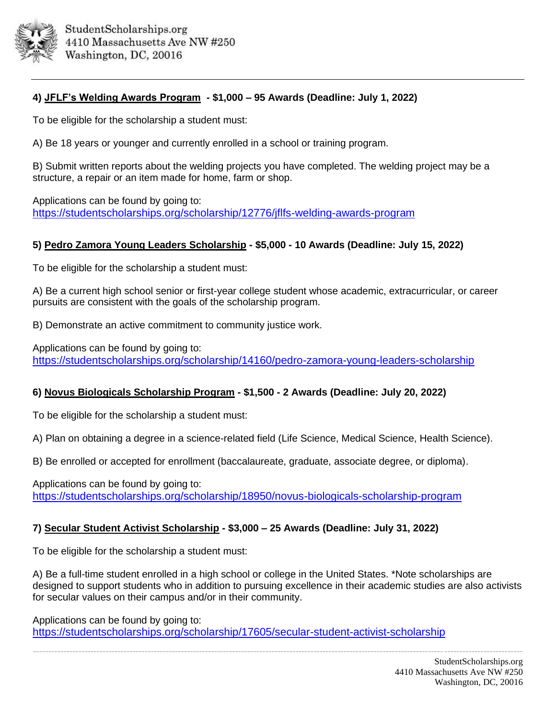

# **4) JFLF's Welding Awards Program - \$1,000 – 95 Awards (Deadline: July 1, 2022)**

To be eligible for the scholarship a student must:

A) Be 18 years or younger and currently enrolled in a school or training program.

B) Submit written reports about the welding projects you have completed. The welding project may be a structure, a repair or an item made for home, farm or shop.

Applications can be found by going to: <https://studentscholarships.org/scholarship/12776/jflfs-welding-awards-program>

#### **5) Pedro Zamora Young Leaders Scholarship - \$5,000 - 10 Awards (Deadline: July 15, 2022)**

To be eligible for the scholarship a student must:

A) Be a current high school senior or first-year college student whose academic, extracurricular, or career pursuits are consistent with the goals of the scholarship program.

B) Demonstrate an active commitment to community justice work.

Applications can be found by going to: <https://studentscholarships.org/scholarship/14160/pedro-zamora-young-leaders-scholarship>

### **6) Novus Biologicals Scholarship Program - \$1,500 - 2 Awards (Deadline: July 20, 2022)**

To be eligible for the scholarship a student must:

A) Plan on obtaining a degree in a science-related field (Life Science, Medical Science, Health Science).

B) Be enrolled or accepted for enrollment (baccalaureate, graduate, associate degree, or diploma).

Applications can be found by going to: <https://studentscholarships.org/scholarship/18950/novus-biologicals-scholarship-program>

### **7) Secular Student Activist Scholarship - \$3,000 – 25 Awards (Deadline: July 31, 2022)**

To be eligible for the scholarship a student must:

A) Be a full-time student enrolled in a high school or college in the United States. \*Note scholarships are designed to support students who in addition to pursuing excellence in their academic studies are also activists for secular values on their campus and/or in their community.

Applications can be found by going to: <https://studentscholarships.org/scholarship/17605/secular-student-activist-scholarship>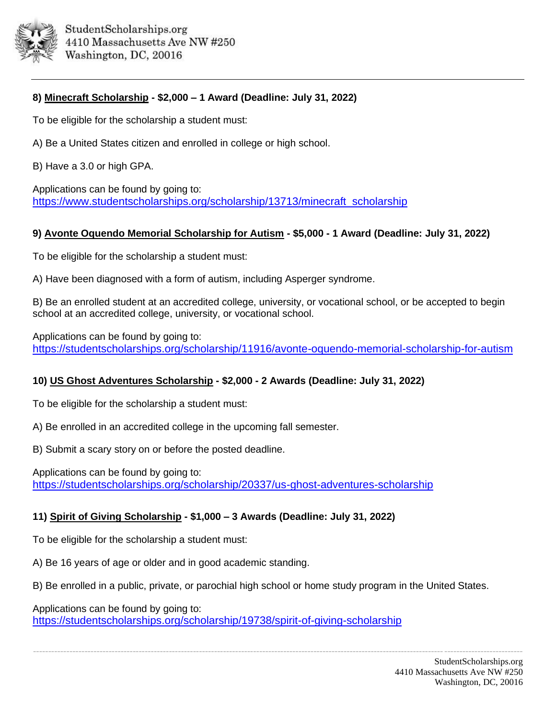

# **8) Minecraft Scholarship - \$2,000 – 1 Award (Deadline: July 31, 2022)**

To be eligible for the scholarship a student must:

A) Be a United States citizen and enrolled in college or high school.

B) Have a 3.0 or high GPA.

Applications can be found by going to: [https://www.studentscholarships.org/scholarship/13713/minecraft\\_scholarship](https://www.studentscholarships.org/scholarship/13713/minecraft_scholarship_scholarship.php)

#### **9) Avonte Oquendo Memorial Scholarship for Autism - \$5,000 - 1 Award (Deadline: July 31, 2022)**

To be eligible for the scholarship a student must:

A) Have been diagnosed with a form of autism, including Asperger syndrome.

B) Be an enrolled student at an accredited college, university, or vocational school, or be accepted to begin school at an accredited college, university, or vocational school.

Applications can be found by going to: <https://studentscholarships.org/scholarship/11916/avonte-oquendo-memorial-scholarship-for-autism>

# **10) US Ghost Adventures Scholarship - \$2,000 - 2 Awards (Deadline: July 31, 2022)**

To be eligible for the scholarship a student must:

A) Be enrolled in an accredited college in the upcoming fall semester.

B) Submit a scary story on or before the posted deadline.

Applications can be found by going to: <https://studentscholarships.org/scholarship/20337/us-ghost-adventures-scholarship>

### **11) Spirit of Giving Scholarship - \$1,000 – 3 Awards (Deadline: July 31, 2022)**

To be eligible for the scholarship a student must:

A) Be 16 years of age or older and in good academic standing.

B) Be enrolled in a public, private, or parochial high school or home study program in the United States.

------------------------------------------------------------------------------------------------------------------------------------------------------------------

Applications can be found by going to:

<https://studentscholarships.org/scholarship/19738/spirit-of-giving-scholarship>